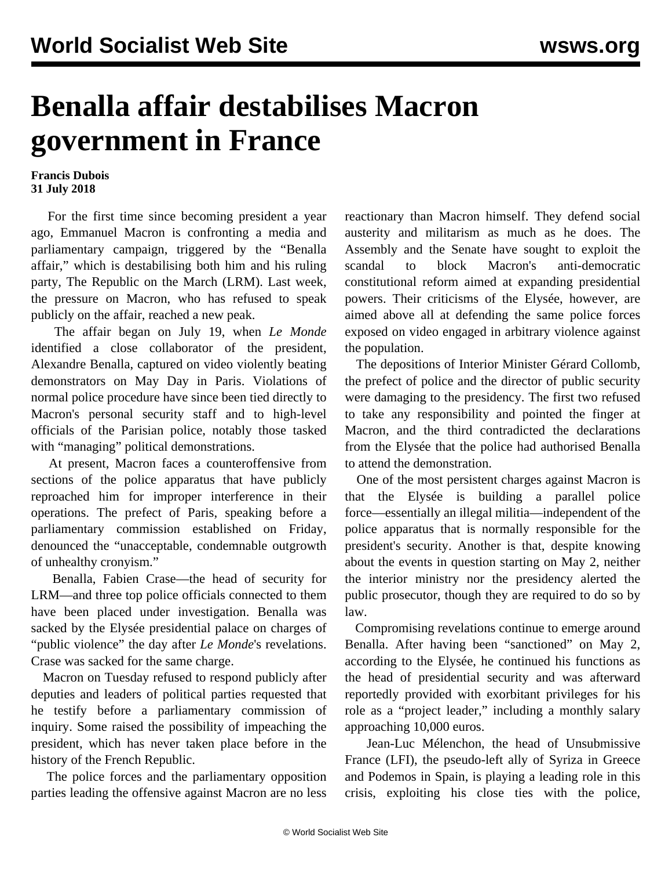## **Benalla affair destabilises Macron government in France**

## **Francis Dubois 31 July 2018**

 For the first time since becoming president a year ago, Emmanuel Macron is confronting a media and parliamentary campaign, triggered by the "Benalla affair," which is destabilising both him and his ruling party, The Republic on the March (LRM). Last week, the pressure on Macron, who has refused to speak publicly on the affair, reached a new peak.

 The affair began on July 19, when *Le Monde* identified a close collaborator of the president, Alexandre Benalla, captured on video violently beating demonstrators on May Day in Paris. Violations of normal police procedure have since been tied directly to Macron's personal security staff and to high-level officials of the Parisian police, notably those tasked with "managing" political demonstrations.

 At present, Macron faces a counteroffensive from sections of the police apparatus that have publicly reproached him for improper interference in their operations. The prefect of Paris, speaking before a parliamentary commission established on Friday, denounced the "unacceptable, condemnable outgrowth of unhealthy cronyism."

 Benalla, Fabien Crase—the head of security for LRM—and three top police officials connected to them have been placed under investigation. Benalla was sacked by the Elysée presidential palace on charges of "public violence" the day after *Le Monde's* revelations. Crase was sacked for the same charge.

 Macron on Tuesday refused to respond publicly after deputies and leaders of political parties requested that he testify before a parliamentary commission of inquiry. Some raised the possibility of impeaching the president, which has never taken place before in the history of the French Republic.

 The police forces and the parliamentary opposition parties leading the offensive against Macron are no less reactionary than Macron himself. They defend social austerity and militarism as much as he does. The Assembly and the Senate have sought to exploit the scandal to block Macron's anti-democratic constitutional reform aimed at expanding presidential powers. Their criticisms of the Elysée, however, are aimed above all at defending the same police forces exposed on video engaged in arbitrary violence against the population.

 The depositions of Interior Minister Gérard Collomb, the prefect of police and the director of public security were damaging to the presidency. The first two refused to take any responsibility and pointed the finger at Macron, and the third contradicted the declarations from the Elysée that the police had authorised Benalla to attend the demonstration.

 One of the most persistent charges against Macron is that the Elysée is building a parallel police force—essentially an illegal militia—independent of the police apparatus that is normally responsible for the president's security. Another is that, despite knowing about the events in question starting on May 2, neither the interior ministry nor the presidency alerted the public prosecutor, though they are required to do so by law.

 Compromising revelations continue to emerge around Benalla. After having been "sanctioned" on May 2, according to the Elysée, he continued his functions as the head of presidential security and was afterward reportedly provided with exorbitant privileges for his role as a "project leader," including a monthly salary approaching 10,000 euros.

 Jean-Luc Mélenchon, the head of Unsubmissive France (LFI), the pseudo-left ally of Syriza in Greece and Podemos in Spain, is playing a leading role in this crisis, exploiting his close ties with the police,